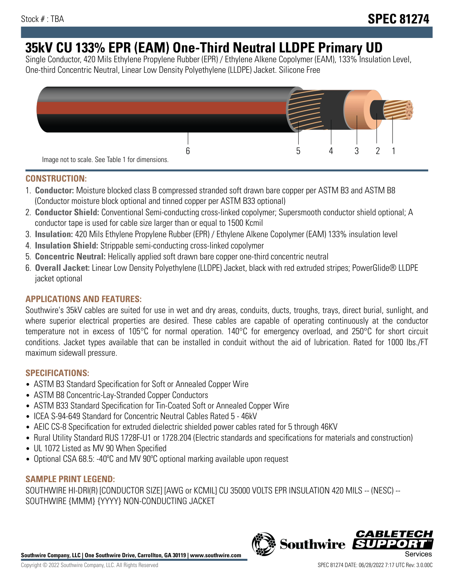# **35kV CU 133% EPR (EAM) One-Third Neutral LLDPE Primary UD**

Single Conductor, 420 Mils Ethylene Propylene Rubber (EPR) / Ethylene Alkene Copolymer (EAM), 133% Insulation Level, One-third Concentric Neutral, Linear Low Density Polyethylene (LLDPE) Jacket. Silicone Free



# **CONSTRUCTION:**

- 1. **Conductor:** Moisture blocked class B compressed stranded soft drawn bare copper per ASTM B3 and ASTM B8 (Conductor moisture block optional and tinned copper per ASTM B33 optional)
- 2. **Conductor Shield:** Conventional Semi-conducting cross-linked copolymer; Supersmooth conductor shield optional; A conductor tape is used for cable size larger than or equal to 1500 Kcmil
- 3. **Insulation:** 420 Mils Ethylene Propylene Rubber (EPR) / Ethylene Alkene Copolymer (EAM) 133% insulation level
- 4. **Insulation Shield:** Strippable semi-conducting cross-linked copolymer
- 5. **Concentric Neutral:** Helically applied soft drawn bare copper one-third concentric neutral
- 6. **Overall Jacket:** Linear Low Density Polyethylene (LLDPE) Jacket, black with red extruded stripes; PowerGlide® LLDPE jacket optional

# **APPLICATIONS AND FEATURES:**

Southwire's 35kV cables are suited for use in wet and dry areas, conduits, ducts, troughs, trays, direct burial, sunlight, and where superior electrical properties are desired. These cables are capable of operating continuously at the conductor temperature not in excess of 105°C for normal operation. 140°C for emergency overload, and 250°C for short circuit conditions. Jacket types available that can be installed in conduit without the aid of lubrication. Rated for 1000 lbs./FT maximum sidewall pressure.

## **SPECIFICATIONS:**

- ASTM B3 Standard Specification for Soft or Annealed Copper Wire
- ASTM B8 Concentric-Lay-Stranded Copper Conductors
- ASTM B33 Standard Specification for Tin-Coated Soft or Annealed Copper Wire
- ICEA S-94-649 Standard for Concentric Neutral Cables Rated 5 46kV
- AEIC CS-8 Specification for extruded dielectric shielded power cables rated for 5 through 46KV
- Rural Utility Standard RUS 1728F-U1 or 1728.204 (Electric standards and specifications for materials and construction)
- UL 1072 Listed as MV 90 When Specified
- Optional CSA 68.5: -40°C and MV 90°C optional marking available upon request

# **SAMPLE PRINT LEGEND:**

SOUTHWIRE HI-DRI(R) [CONDUCTOR SIZE] [AWG or KCMIL] CU 35000 VOLTS EPR INSULATION 420 MILS -- (NESC) -- SOUTHWIRE {MMM} {YYYY} NON-CONDUCTING JACKET

**Southwire Company, LLC | One Southwire Drive, Carrollton, GA 30119 | www.southwire.com**